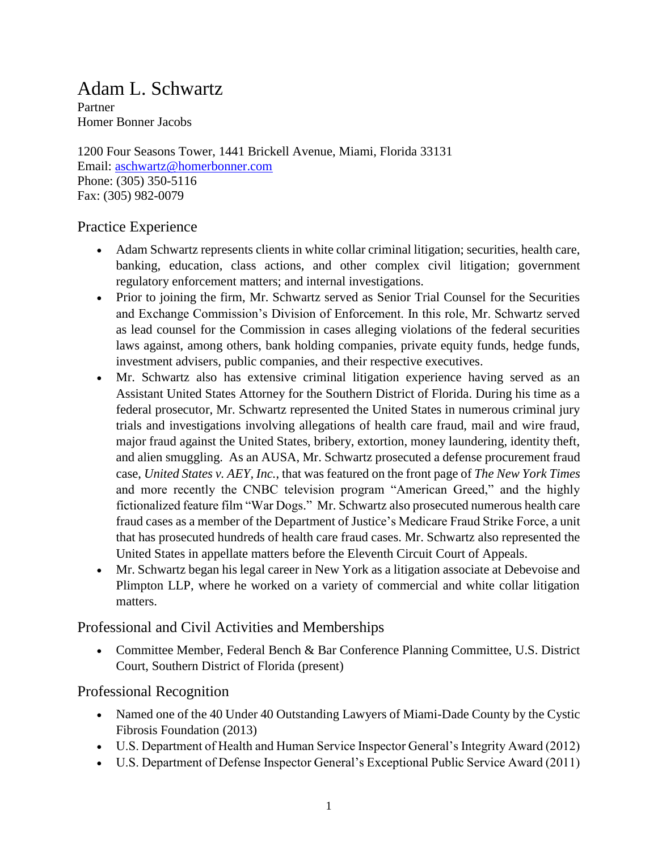## Adam L. Schwartz

Partner Homer Bonner Jacobs

1200 Four Seasons Tower, 1441 Brickell Avenue, Miami, Florida 33131 Email: [aschwartz@homerbonner.com](mailto:aschwartz@homerbonner.com) Phone: (305) 350-5116 Fax: (305) 982-0079

## Practice Experience

- Adam Schwartz represents clients in white collar criminal litigation; securities, health care, banking, education, class actions, and other complex civil litigation; government regulatory enforcement matters; and internal investigations.
- Prior to joining the firm, Mr. Schwartz served as Senior Trial Counsel for the Securities and Exchange Commission's Division of Enforcement. In this role, Mr. Schwartz served as lead counsel for the Commission in cases alleging violations of the federal securities laws against, among others, bank holding companies, private equity funds, hedge funds, investment advisers, public companies, and their respective executives.
- Mr. Schwartz also has extensive criminal litigation experience having served as an Assistant United States Attorney for the Southern District of Florida. During his time as a federal prosecutor, Mr. Schwartz represented the United States in numerous criminal jury trials and investigations involving allegations of health care fraud, mail and wire fraud, major fraud against the United States, bribery, extortion, money laundering, identity theft, and alien smuggling. As an AUSA, Mr. Schwartz prosecuted a defense procurement fraud case, *United States v. AEY, Inc.*, that was featured on the front page of *The New York Times* and more recently the CNBC television program "American Greed," and the highly fictionalized feature film "War Dogs." Mr. Schwartz also prosecuted numerous health care fraud cases as a member of the Department of Justice's Medicare Fraud Strike Force, a unit that has prosecuted hundreds of health care fraud cases. Mr. Schwartz also represented the United States in appellate matters before the Eleventh Circuit Court of Appeals.
- Mr. Schwartz began his legal career in New York as a litigation associate at Debevoise and Plimpton LLP, where he worked on a variety of commercial and white collar litigation matters.

Professional and Civil Activities and Memberships

 Committee Member, Federal Bench & Bar Conference Planning Committee, U.S. District Court, Southern District of Florida (present)

Professional Recognition

- Named one of the 40 Under 40 Outstanding Lawyers of Miami-Dade County by the Cystic Fibrosis Foundation (2013)
- U.S. Department of Health and Human Service Inspector General's Integrity Award (2012)
- U.S. Department of Defense Inspector General's Exceptional Public Service Award (2011)